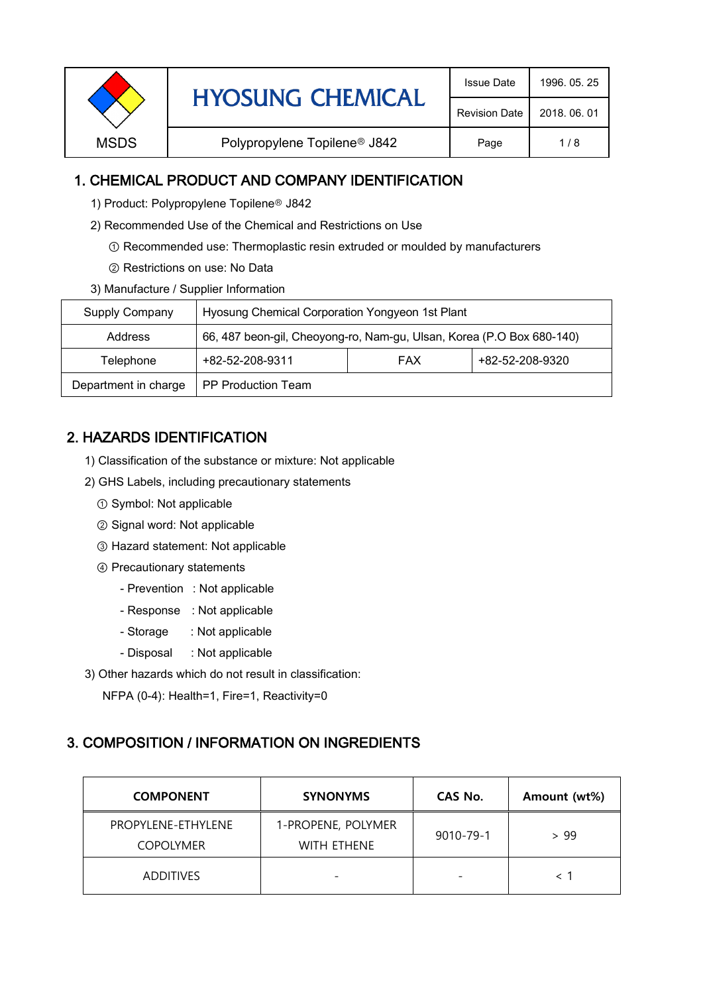| <b>HYOSUNG CHEMICAL</b> | <b>Issue Date</b>                        | 1996, 05, 25         |              |
|-------------------------|------------------------------------------|----------------------|--------------|
|                         |                                          | <b>Revision Date</b> | 2018, 06, 01 |
| <b>MSDS</b>             | Polypropylene Topilene <sup>®</sup> J842 | Page                 | 1/8          |

## 1. CHEMICAL PRODUCT AND COMPANY IDENTIFICATION

- 1) Product: Polypropylene Topilene<sup>®</sup> J842
- 2) Recommended Use of the Chemical and Restrictions on Use
	- ① Recommended use: Thermoplastic resin extruded or moulded by manufacturers
	- ② Restrictions on use: No Data
- 3) Manufacture / Supplier Information

| Supply Company       | Hyosung Chemical Corporation Yongyeon 1st Plant                       |  |  |  |
|----------------------|-----------------------------------------------------------------------|--|--|--|
| Address              | 66, 487 beon-gil, Cheoyong-ro, Nam-gu, Ulsan, Korea (P.O Box 680-140) |  |  |  |
| Telephone            | +82-52-208-9320<br>+82-52-208-9311<br><b>FAX</b>                      |  |  |  |
| Department in charge | <b>PP Production Team</b>                                             |  |  |  |

# 2. HAZARDS IDENTIFICATION

- 1) Classification of the substance or mixture: Not applicable
- 2) GHS Labels, including precautionary statements
	- ① Symbol: Not applicable
	- ② Signal word: Not applicable
	- ③ Hazard statement: Not applicable
	- ④ Precautionary statements
		- Prevention : Not applicable
		- Response : Not applicable
		- Storage : Not applicable
		- Disposal : Not applicable
- 3) Other hazards which do not result in classification:

NFPA (0-4): Health=1, Fire=1, Reactivity=0

### 3. COMPOSITION / INFORMATION ON INGREDIENTS

| <b>COMPONENT</b>                       | <b>SYNONYMS</b>                          | CAS No.                  | Amount (wt%) |
|----------------------------------------|------------------------------------------|--------------------------|--------------|
| PROPYLENE-ETHYLENE<br><b>COPOLYMER</b> | 1-PROPENE, POLYMER<br><b>WITH FTHENE</b> | 9010-79-1                | > 99         |
| <b>ADDITIVES</b>                       | $\overline{\phantom{0}}$                 | $\overline{\phantom{0}}$ |              |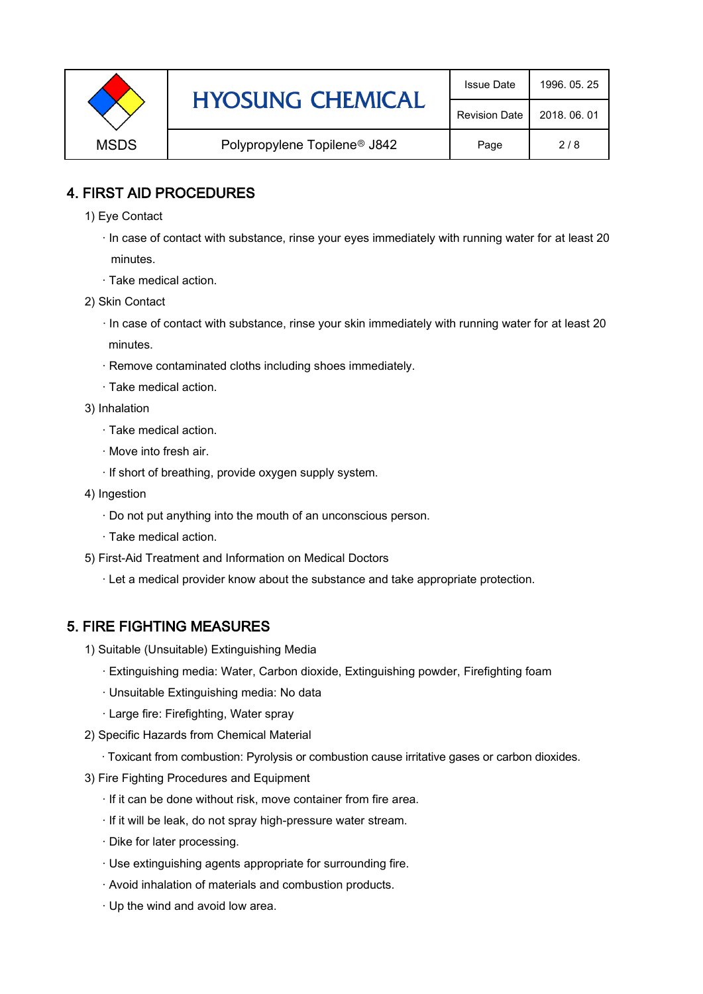|                                                         | <b>HYOSUNG CHEMICAL</b> | <b>Issue Date</b> | 1996, 05, 25 |
|---------------------------------------------------------|-------------------------|-------------------|--------------|
|                                                         | <b>Revision Date</b>    | 2018, 06, 01      |              |
| <b>MSDS</b><br>Polypropylene Topilene <sup>®</sup> J842 |                         | Page              | 2/8          |

## 4. FIRST AID PROCEDURES

- 1) Eye Contact
	- · In case of contact with substance, rinse your eyes immediately with running water for at least 20 minutes.
	- · Take medical action.
- 2) Skin Contact
	- · In case of contact with substance, rinse your skin immediately with running water for at least 20 minutes.
	- · Remove contaminated cloths including shoes immediately.
	- · Take medical action.
- 3) Inhalation
	- · Take medical action.
	- · Move into fresh air.
	- · If short of breathing, provide oxygen supply system.
- 4) Ingestion
	- · Do not put anything into the mouth of an unconscious person.
	- · Take medical action.
- 5) First-Aid Treatment and Information on Medical Doctors
	- · Let a medical provider know about the substance and take appropriate protection.

# 5. FIRE FIGHTING MEASURES

- 1) Suitable (Unsuitable) Extinguishing Media
	- · Extinguishing media: Water, Carbon dioxide, Extinguishing powder, Firefighting foam
	- · Unsuitable Extinguishing media: No data
	- · Large fire: Firefighting, Water spray
- 2) Specific Hazards from Chemical Material
	- · Toxicant from combustion: Pyrolysis or combustion cause irritative gases or carbon dioxides.
- 3) Fire Fighting Procedures and Equipment
	- · If it can be done without risk, move container from fire area.
	- · If it will be leak, do not spray high-pressure water stream.
	- · Dike for later processing.
	- · Use extinguishing agents appropriate for surrounding fire.
	- · Avoid inhalation of materials and combustion products.
	- · Up the wind and avoid low area.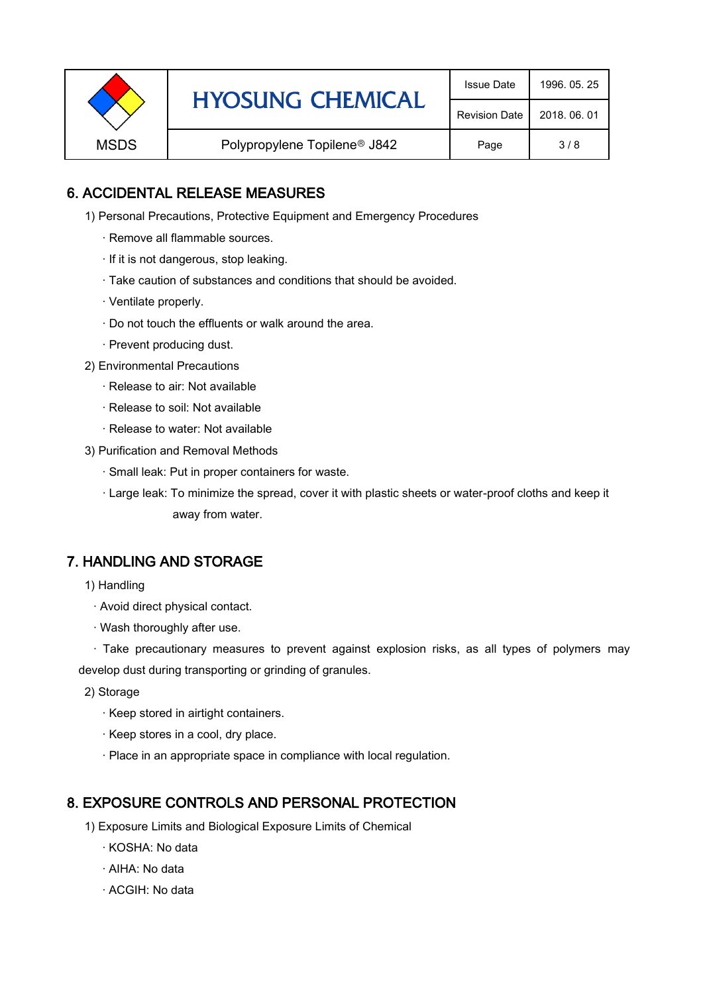| <b>HYOSUNG CHEMICAL</b><br><b>MSDS</b><br>Polypropylene Topilene <sup>®</sup> J842 | <b>Issue Date</b>    | 1996, 05, 25 |
|------------------------------------------------------------------------------------|----------------------|--------------|
|                                                                                    | <b>Revision Date</b> | 2018, 06, 01 |
|                                                                                    |                      | Page         |

## 6. ACCIDENTAL RELEASE MEASURES

- 1) Personal Precautions, Protective Equipment and Emergency Procedures
	- · Remove all flammable sources.
	- · If it is not dangerous, stop leaking.
	- · Take caution of substances and conditions that should be avoided.
	- · Ventilate properly.
	- · Do not touch the effluents or walk around the area.
	- · Prevent producing dust.
- 2) Environmental Precautions
	- · Release to air: Not available
	- · Release to soil: Not available
	- · Release to water: Not available
- 3) Purification and Removal Methods
	- · Small leak: Put in proper containers for waste.
	- ,· Large leak: To minimize the spread, cover it with plastic sheets or water-proof cloths and keep it away from water.

### 7. HANDLING AND STORAGE

- 1) Handling
	- · Avoid direct physical contact.
	- · Wash thoroughly after use.

· Take precautionary measures to prevent against explosion risks, as all types of polymers may develop dust during transporting or grinding of granules.

- 2) Storage
	- · Keep stored in airtight containers.
	- · Keep stores in a cool, dry place.
	- · Place in an appropriate space in compliance with local regulation.

### 8. EXPOSURE CONTROLS AND PERSONAL PROTECTION

- 1) Exposure Limits and Biological Exposure Limits of Chemical
	- · KOSHA: No data
	- · AIHA: No data
	- · ACGIH: No data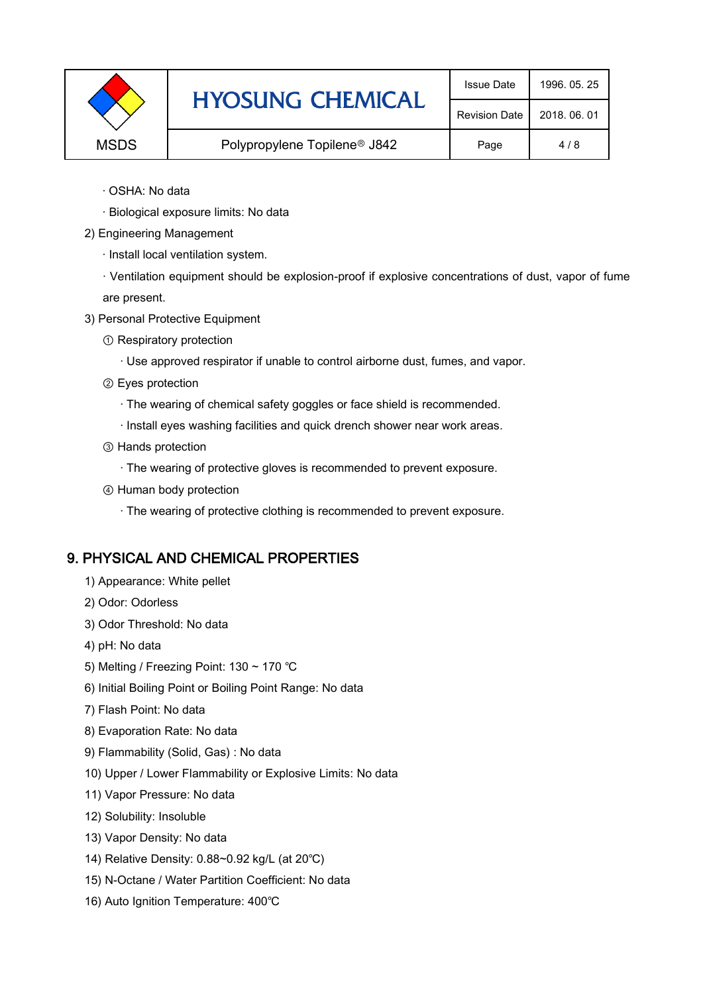|             | <b>HYOSUNG CHEMICAL</b>                  | <b>Issue Date</b> | 1996, 05, 25 |
|-------------|------------------------------------------|-------------------|--------------|
|             | <b>Revision Date</b>                     | 2018, 06, 01      |              |
| <b>MSDS</b> | Polypropylene Topilene <sup>®</sup> J842 | Page              | 4/8          |

- · OSHA: No data
- · Biological exposure limits: No data
- 2) Engineering Management
	- · Install local ventilation system.

· Ventilation equipment should be explosion-proof if explosive concentrations of dust, vapor of fume are present.

- 3) Personal Protective Equipment
	- ① Respiratory protection
		- · Use approved respirator if unable to control airborne dust, fumes, and vapor.
	- ② Eyes protection
		- · The wearing of chemical safety goggles or face shield is recommended.
		- · Install eyes washing facilities and quick drench shower near work areas.
	- ③ Hands protection
		- · The wearing of protective gloves is recommended to prevent exposure.
	- ④ Human body protection
		- · The wearing of protective clothing is recommended to prevent exposure.

#### 9. PHYSICAL AND CHEMICAL PROPERTIES

- 1) Appearance: White pellet
- 2) Odor: Odorless
- 3) Odor Threshold: No data
- 4) pH: No data
- 5) Melting / Freezing Point: 130 ~ 170 ℃
- 6) Initial Boiling Point or Boiling Point Range: No data
- 7) Flash Point: No data
- 8) Evaporation Rate: No data
- 9) Flammability (Solid, Gas) : No data
- 10) Upper / Lower Flammability or Explosive Limits: No data
- 11) Vapor Pressure: No data
- 12) Solubility: Insoluble
- 13) Vapor Density: No data
- 14) Relative Density: 0.88~0.92 kg/L (at 20℃)
- 15) N-Octane / Water Partition Coefficient: No data
- 16) Auto Ignition Temperature: 400℃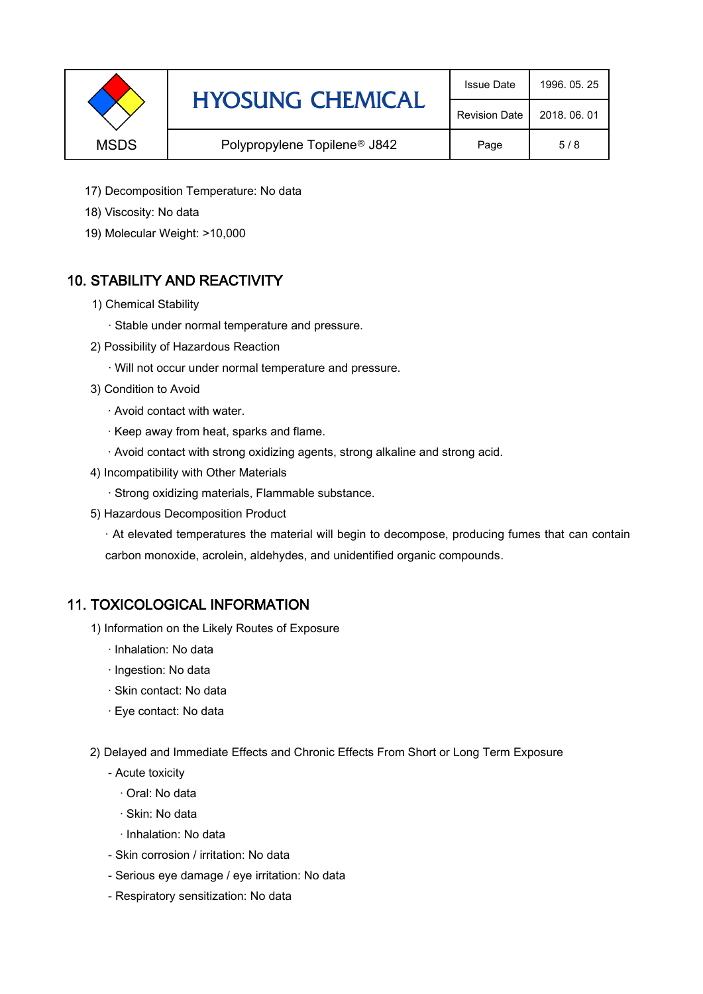|                                                         | <b>HYOSUNG CHEMICAL</b> | <b>Issue Date</b>    | 1996, 05, 25 |
|---------------------------------------------------------|-------------------------|----------------------|--------------|
|                                                         |                         | <b>Revision Date</b> | 2018, 06, 01 |
| <b>MSDS</b><br>Polypropylene Topilene <sup>®</sup> J842 |                         | Page                 | 5/8          |

- 17) Decomposition Temperature: No data
- 18) Viscosity: No data
- 19) Molecular Weight: >10,000

# 10. STABILITY AND REACTIVITY

- 1) Chemical Stability
	- · Stable under normal temperature and pressure.
- 2) Possibility of Hazardous Reaction
	- · Will not occur under normal temperature and pressure.
- 3) Condition to Avoid
	- · Avoid contact with water.
	- · Keep away from heat, sparks and flame.
	- · Avoid contact with strong oxidizing agents, strong alkaline and strong acid.
- 4) Incompatibility with Other Materials
	- · Strong oxidizing materials, Flammable substance.
- 5) Hazardous Decomposition Product

· At elevated temperatures the material will begin to decompose, producing fumes that can contain carbon monoxide, acrolein, aldehydes, and unidentified organic compounds.

### 11. TOXICOLOGICAL INFORMATION

- 1) Information on the Likely Routes of Exposure
	- · Inhalation: No data
	- · Ingestion: No data
	- · Skin contact: No data
	- · Eye contact: No data
- 2) Delayed and Immediate Effects and Chronic Effects From Short or Long Term Exposure
	- Acute toxicity
		- · Oral: No data
		- · Skin: No data
		- · Inhalation: No data
	- Skin corrosion / irritation: No data
	- Serious eye damage / eye irritation: No data
	- Respiratory sensitization: No data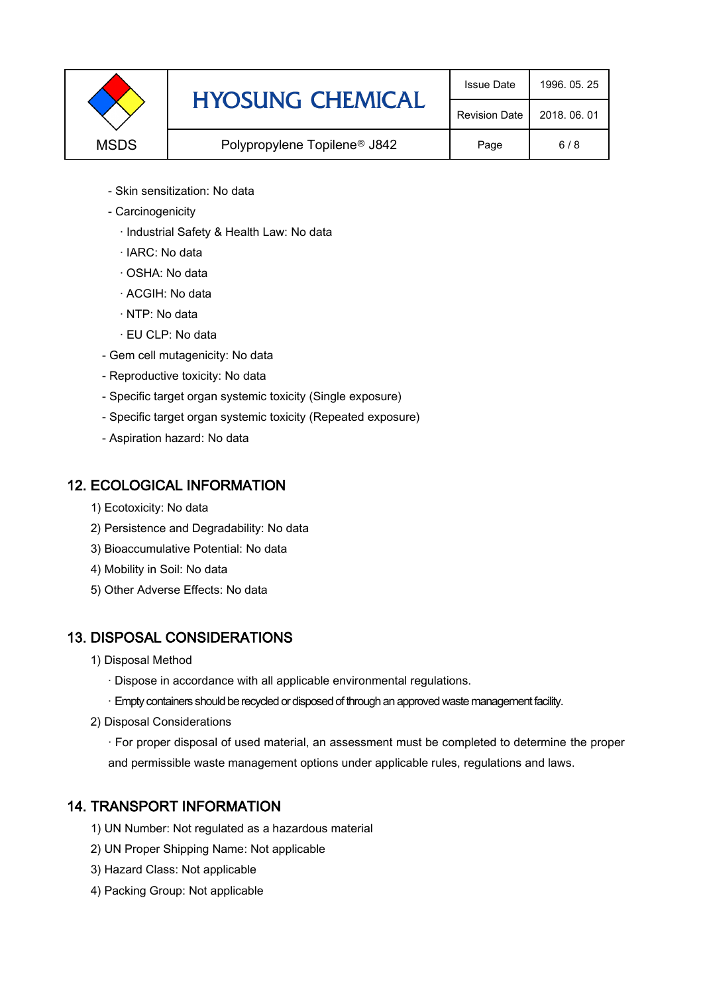|             | <b>HYOSUNG CHEMICAL</b>                  | <b>Issue Date</b> | 1996, 05, 25 |
|-------------|------------------------------------------|-------------------|--------------|
|             | <b>Revision Date</b>                     | 2018, 06, 01      |              |
| <b>MSDS</b> | Polypropylene Topilene <sup>®</sup> J842 | Page              | 6/8          |

- Skin sensitization: No data
- Carcinogenicity
	- · Industrial Safety & Health Law: No data
	- · IARC: No data
	- · OSHA: No data
	- · ACGIH: No data
	- · NTP: No data
	- · EU CLP: No data
- Gem cell mutagenicity: No data
- Reproductive toxicity: No data
- Specific target organ systemic toxicity (Single exposure)
- Specific target organ systemic toxicity (Repeated exposure)
- Aspiration hazard: No data

### 12. ECOLOGICAL INFORMATION

- 1) Ecotoxicity: No data
- 2) Persistence and Degradability: No data
- 3) Bioaccumulative Potential: No data
- 4) Mobility in Soil: No data
- 5) Other Adverse Effects: No data

# 13. DISPOSAL CONSIDERATIONS

- 1) Disposal Method
	- · Dispose in accordance with all applicable environmental regulations.
	- · Empty containers should be recycled or disposed of through an approved waste management facility.
- 2) Disposal Considerations
	- · For proper disposal of used material, an assessment must be completed to determine the proper and permissible waste management options under applicable rules, regulations and laws.

# 14. TRANSPORT INFORMATION

- 1) UN Number: Not regulated as a hazardous material
- 2) UN Proper Shipping Name: Not applicable
- 3) Hazard Class: Not applicable
- 4) Packing Group: Not applicable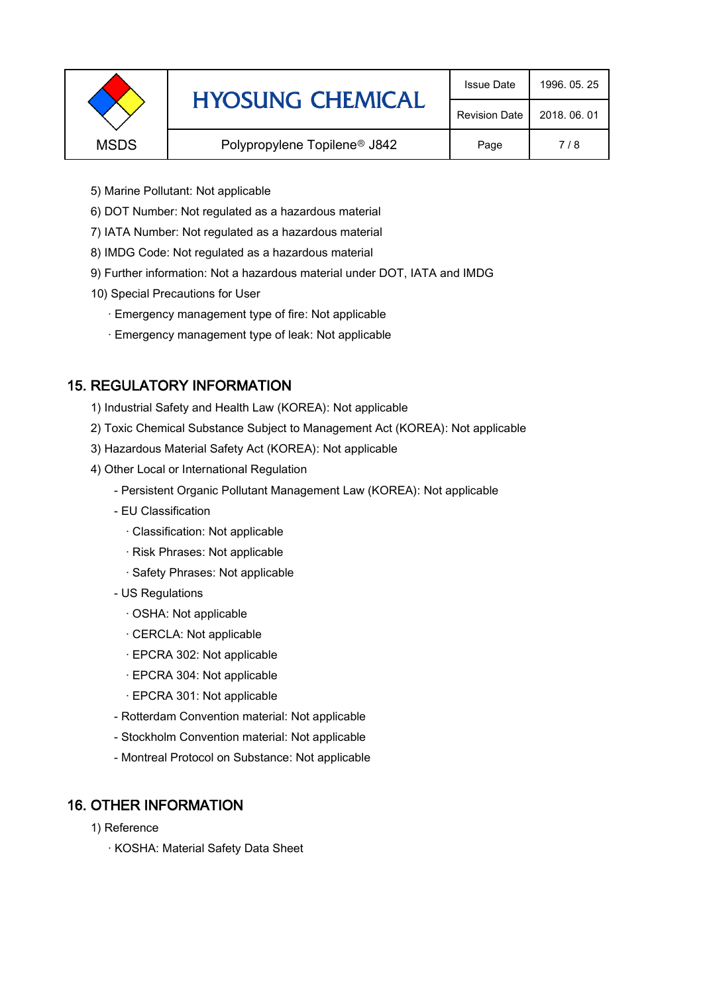|                                                         | <b>HYOSUNG CHEMICAL</b> | <b>Issue Date</b>    | 1996, 05, 25 |
|---------------------------------------------------------|-------------------------|----------------------|--------------|
|                                                         |                         | <b>Revision Date</b> | 2018, 06, 01 |
| <b>MSDS</b><br>Polypropylene Topilene <sup>®</sup> J842 |                         | Page                 | 7/8          |
|                                                         |                         |                      |              |

- 5) Marine Pollutant: Not applicable
- 6) DOT Number: Not regulated as a hazardous material
- 7) IATA Number: Not regulated as a hazardous material
- 8) IMDG Code: Not regulated as a hazardous material
- 9) Further information: Not a hazardous material under DOT, IATA and IMDG
- 10) Special Precautions for User
	- · Emergency management type of fire: Not applicable
	- · Emergency management type of leak: Not applicable

# 15. REGULATORY INFORMATION

- 1) Industrial Safety and Health Law (KOREA): Not applicable
- 2) Toxic Chemical Substance Subject to Management Act (KOREA): Not applicable
- 3) Hazardous Material Safety Act (KOREA): Not applicable
- 4) Other Local or International Regulation
	- Persistent Organic Pollutant Management Law (KOREA): Not applicable
	- EU Classification
		- · Classification: Not applicable
		- · Risk Phrases: Not applicable
		- · Safety Phrases: Not applicable
	- US Regulations
		- · OSHA: Not applicable
		- · CERCLA: Not applicable
		- · EPCRA 302: Not applicable
		- · EPCRA 304: Not applicable
		- · EPCRA 301: Not applicable
	- Rotterdam Convention material: Not applicable
	- Stockholm Convention material: Not applicable
	- Montreal Protocol on Substance: Not applicable

# 16. OTHER INFORMATION

- 1) Reference
	- · KOSHA: Material Safety Data Sheet